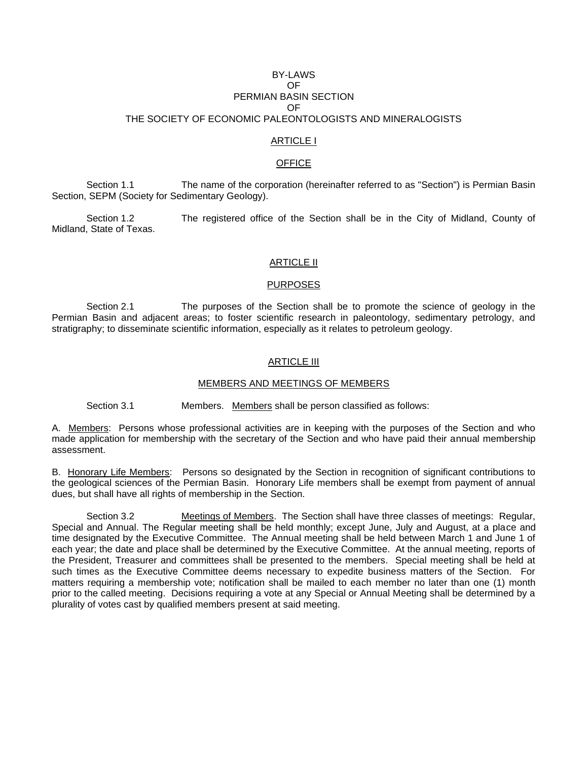# BY-LAWS OF PERMIAN BASIN SECTION OF THE SOCIETY OF ECONOMIC PALEONTOLOGISTS AND MINERALOGISTS

## ARTICLE I

### **OFFICE**

Section 1.1 The name of the corporation (hereinafter referred to as "Section") is Permian Basin Section, SEPM (Society for Sedimentary Geology).

Section 1.2 The registered office of the Section shall be in the City of Midland, County of Midland, State of Texas.

#### ARTICLE II

#### PURPOSES

Section 2.1 The purposes of the Section shall be to promote the science of geology in the Permian Basin and adjacent areas; to foster scientific research in paleontology, sedimentary petrology, and stratigraphy; to disseminate scientific information, especially as it relates to petroleum geology.

## ARTICLE III

### MEMBERS AND MEETINGS OF MEMBERS

Section 3.1 Members. Members shall be person classified as follows:

A. Members: Persons whose professional activities are in keeping with the purposes of the Section and who made application for membership with the secretary of the Section and who have paid their annual membership assessment.

B. Honorary Life Members: Persons so designated by the Section in recognition of significant contributions to the geological sciences of the Permian Basin. Honorary Life members shall be exempt from payment of annual dues, but shall have all rights of membership in the Section.

Section 3.2 Meetings of Members. The Section shall have three classes of meetings: Regular, Special and Annual. The Regular meeting shall be held monthly; except June, July and August, at a place and time designated by the Executive Committee. The Annual meeting shall be held between March 1 and June 1 of each year; the date and place shall be determined by the Executive Committee. At the annual meeting, reports of the President, Treasurer and committees shall be presented to the members. Special meeting shall be held at such times as the Executive Committee deems necessary to expedite business matters of the Section. For matters requiring a membership vote; notification shall be mailed to each member no later than one (1) month prior to the called meeting. Decisions requiring a vote at any Special or Annual Meeting shall be determined by a plurality of votes cast by qualified members present at said meeting.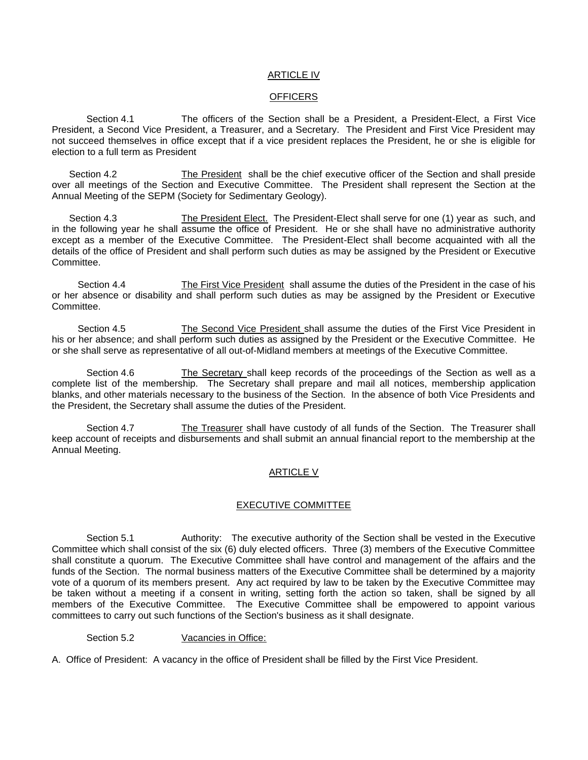### ARTICLE IV

#### **OFFICERS**

Section 4.1 The officers of the Section shall be a President, a President-Elect, a First Vice President, a Second Vice President, a Treasurer, and a Secretary. The President and First Vice President may not succeed themselves in office except that if a vice president replaces the President, he or she is eligible for election to a full term as President

Section 4.2 The President shall be the chief executive officer of the Section and shall preside over all meetings of the Section and Executive Committee. The President shall represent the Section at the Annual Meeting of the SEPM (Society for Sedimentary Geology).

Section 4.3 The President Elect. The President-Elect shall serve for one (1) year as such, and in the following year he shall assume the office of President. He or she shall have no administrative authority except as a member of the Executive Committee. The President-Elect shall become acquainted with all the details of the office of President and shall perform such duties as may be assigned by the President or Executive Committee.

Section 4.4 The First Vice President shall assume the duties of the President in the case of his or her absence or disability and shall perform such duties as may be assigned by the President or Executive Committee.

Section 4.5 The Second Vice President shall assume the duties of the First Vice President in his or her absence; and shall perform such duties as assigned by the President or the Executive Committee. He or she shall serve as representative of all out-of-Midland members at meetings of the Executive Committee.

Section 4.6 The Secretary shall keep records of the proceedings of the Section as well as a complete list of the membership. The Secretary shall prepare and mail all notices, membership application blanks, and other materials necessary to the business of the Section. In the absence of both Vice Presidents and the President, the Secretary shall assume the duties of the President.

Section 4.7 The Treasurer shall have custody of all funds of the Section. The Treasurer shall keep account of receipts and disbursements and shall submit an annual financial report to the membership at the Annual Meeting.

# ARTICLE V

# EXECUTIVE COMMITTEE

Section 5.1 **Authority:** The executive authority of the Section shall be vested in the Executive Committee which shall consist of the six (6) duly elected officers. Three (3) members of the Executive Committee shall constitute a quorum. The Executive Committee shall have control and management of the affairs and the funds of the Section. The normal business matters of the Executive Committee shall be determined by a majority vote of a quorum of its members present. Any act required by law to be taken by the Executive Committee may be taken without a meeting if a consent in writing, setting forth the action so taken, shall be signed by all members of the Executive Committee. The Executive Committee shall be empowered to appoint various committees to carry out such functions of the Section's business as it shall designate.

Section 5.2 Vacancies in Office:

A. Office of President: A vacancy in the office of President shall be filled by the First Vice President.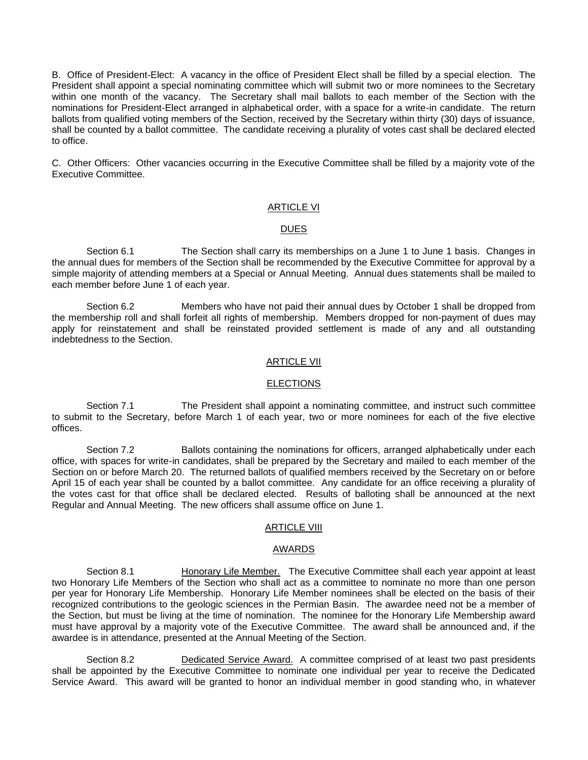B. Office of President-Elect: A vacancy in the office of President Elect shall be filled by a special election. The President shall appoint a special nominating committee which will submit two or more nominees to the Secretary within one month of the vacancy. The Secretary shall mail ballots to each member of the Section with the nominations for President-Elect arranged in alphabetical order, with a space for a write-in candidate. The return ballots from qualified voting members of the Section, received by the Secretary within thirty (30) days of issuance, shall be counted by a ballot committee. The candidate receiving a plurality of votes cast shall be declared elected to office.

C. Other Officers: Other vacancies occurring in the Executive Committee shall be filled by a majority vote of the Executive Committee.

#### ARTICLE VI

# DUES

Section 6.1 The Section shall carry its memberships on a June 1 to June 1 basis. Changes in the annual dues for members of the Section shall be recommended by the Executive Committee for approval by a simple majority of attending members at a Special or Annual Meeting. Annual dues statements shall be mailed to each member before June 1 of each year.

Section 6.2 Members who have not paid their annual dues by October 1 shall be dropped from the membership roll and shall forfeit all rights of membership. Members dropped for non-payment of dues may apply for reinstatement and shall be reinstated provided settlement is made of any and all outstanding indebtedness to the Section.

## ARTICLE VII

#### **ELECTIONS**

Section 7.1 The President shall appoint a nominating committee, and instruct such committee to submit to the Secretary, before March 1 of each year, two or more nominees for each of the five elective offices.

Section 7.2 Ballots containing the nominations for officers, arranged alphabetically under each office, with spaces for write-in candidates, shall be prepared by the Secretary and mailed to each member of the Section on or before March 20. The returned ballots of qualified members received by the Secretary on or before April 15 of each year shall be counted by a ballot committee. Any candidate for an office receiving a plurality of the votes cast for that office shall be declared elected. Results of balloting shall be announced at the next Regular and Annual Meeting. The new officers shall assume office on June 1.

## ARTICLE VIII

#### AWARDS

Section 8.1 **Honorary Life Member.** The Executive Committee shall each year appoint at least two Honorary Life Members of the Section who shall act as a committee to nominate no more than one person per year for Honorary Life Membership. Honorary Life Member nominees shall be elected on the basis of their recognized contributions to the geologic sciences in the Permian Basin. The awardee need not be a member of the Section, but must be living at the time of nomination. The nominee for the Honorary Life Membership award must have approval by a majority vote of the Executive Committee. The award shall be announced and, if the awardee is in attendance, presented at the Annual Meeting of the Section.

Section 8.2 Dedicated Service Award. A committee comprised of at least two past presidents shall be appointed by the Executive Committee to nominate one individual per year to receive the Dedicated Service Award. This award will be granted to honor an individual member in good standing who, in whatever